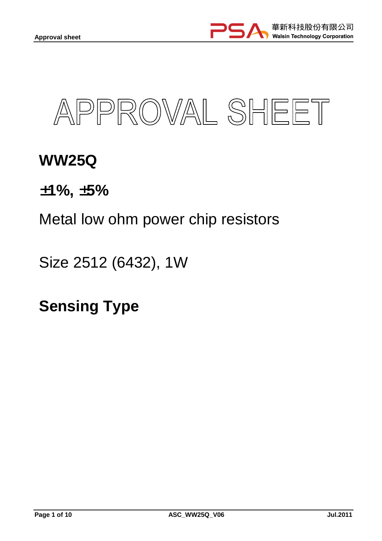



# **WW25Q**

±**1%,** ±**5%** 

Metal low ohm power chip resistors

Size 2512 (6432), 1W

**Sensing Type**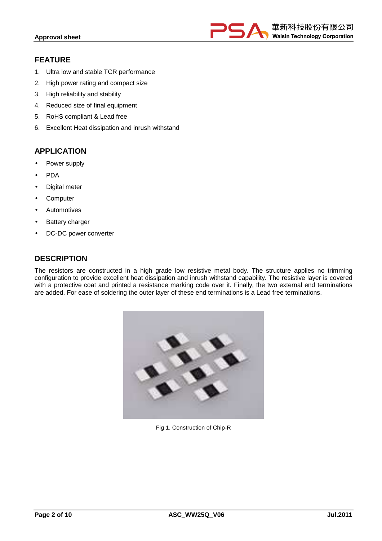

# **FEATURE**

- 1. Ultra low and stable TCR performance
- 2. High power rating and compact size
- 3. High reliability and stability
- 4. Reduced size of final equipment
- 5. RoHS compliant & Lead free
- 6. Excellent Heat dissipation and inrush withstand

## **APPLICATION**

- Power supply
- PDA
- Digital meter
- **Computer**
- **Automotives**
- **Battery charger**
- DC-DC power converter

## **DESCRIPTION**

The resistors are constructed in a high grade low resistive metal body. The structure applies no trimming configuration to provide excellent heat dissipation and inrush withstand capability. The resistive layer is covered with a protective coat and printed a resistance marking code over it. Finally, the two external end terminations are added. For ease of soldering the outer layer of these end terminations is a Lead free terminations.



Fig 1. Construction of Chip-R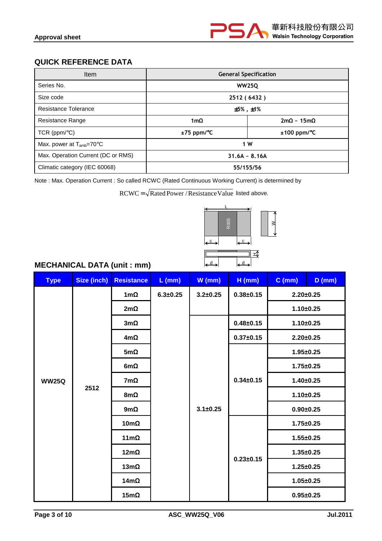# **QUICK REFERENCE DATA**

| <b>Item</b>                         | <b>General Specification</b>   |                           |  |  |
|-------------------------------------|--------------------------------|---------------------------|--|--|
| Series No.                          |                                | <b>WW250</b>              |  |  |
| Size code                           | 2512 (6432)                    |                           |  |  |
| Resistance Tolerance                | $±5\%$ , $±1\%$                |                           |  |  |
| Resistance Range                    | 1m $\Omega$                    | $2m\Omega \sim 15m\Omega$ |  |  |
| $TCR$ (ppm/ $°C$ )                  | ±75 ppm/°C<br>$±100$ ppm/ $°C$ |                           |  |  |
| Max. power at $T_{amb}=70^{\circ}C$ | 1 W                            |                           |  |  |
| Max. Operation Current (DC or RMS)  | $31.6A - 8.16A$                |                           |  |  |
| Climatic category (IEC 60068)       | 55/155/56                      |                           |  |  |

Note : Max. Operation Current : So called RCWC (Rated Continuous Working Current) is determined by

 $RCWC = \sqrt{Rated Power / ResistanceValue}$  listed above.



# **MECHANICAL DATA (unit : mm)**

| <b>Type</b>  | <b>Size (inch)</b> | <b>Resistance</b> | $L$ (mm)     | $W$ (mm)       | $H$ (mm)        | $C$ (mm)        | $D$ (mm) |
|--------------|--------------------|-------------------|--------------|----------------|-----------------|-----------------|----------|
|              |                    | $1m\Omega$        | $6.3 + 0.25$ | $3.2 \pm 0.25$ | $0.38 + 0.15$   | $2.20 \pm 0.25$ |          |
|              |                    | $2m\Omega$        |              |                |                 | $1.10 + 0.25$   |          |
|              |                    | $3m\Omega$        |              |                | $0.48 \pm 0.15$ | $1.10 + 0.25$   |          |
|              |                    | $4m\Omega$        |              |                | $0.37 \pm 0.15$ | $2.20 \pm 0.25$ |          |
|              |                    | $5m\Omega$        |              |                |                 | $1.95 \pm 0.25$ |          |
|              | 2512               | 6m $\Omega$       |              |                |                 | $1.75 \pm 0.25$ |          |
| <b>WW25Q</b> |                    | $7m\Omega$        |              |                | $0.34 \pm 0.15$ | $1.40 \pm 0.25$ |          |
|              |                    | $8m\Omega$        |              |                |                 | $1.10 + 0.25$   |          |
|              |                    | $9m\Omega$        |              | $3.1 \pm 0.25$ |                 | $0.90 + 0.25$   |          |
|              |                    | $10m\Omega$       |              |                |                 | $1.75 \pm 0.25$ |          |
|              |                    | $11m\Omega$       |              |                |                 | $1.55 \pm 0.25$ |          |
|              |                    | $12m\Omega$       |              |                |                 | $1.35 \pm 0.25$ |          |
|              |                    | $13m\Omega$       |              |                | $0.23 \pm 0.15$ | $1.25 \pm 0.25$ |          |
|              |                    | $14m\Omega$       |              |                |                 | $1.05 \pm 0.25$ |          |
|              |                    | $15m\Omega$       |              |                |                 | $0.95 \pm 0.25$ |          |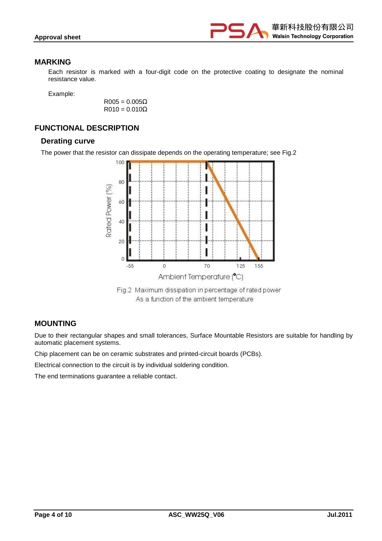

#### **MARKING**

Each resistor is marked with a four-digit code on the protective coating to designate the nominal resistance value.

Example:

 $R005 = 0.005Ω$  $R010 = 0.010\Omega$ 

# **FUNCTIONAL DESCRIPTION**

#### **Derating curve**

The power that the resistor can dissipate depends on the operating temperature; see Fig.2



Fig.2 Maximum dissipation in percentage of rated power As a function of the ambient temperature

#### **MOUNTING**

Due to their rectangular shapes and small tolerances, Surface Mountable Resistors are suitable for handling by automatic placement systems.

Chip placement can be on ceramic substrates and printed-circuit boards (PCBs).

Electrical connection to the circuit is by individual soldering condition.

The end terminations guarantee a reliable contact.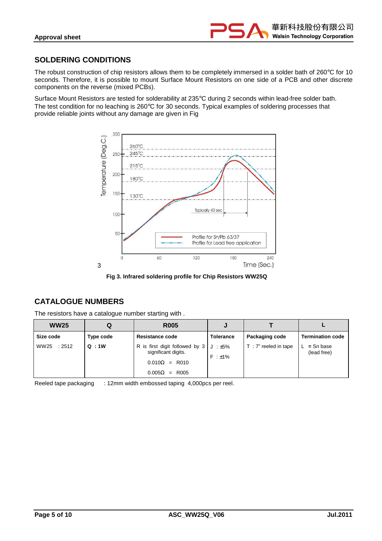

# **SOLDERING CONDITIONS**

The robust construction of chip resistors allows them to be completely immersed in a solder bath of 260°C for 10 seconds. Therefore, it is possible to mount Surface Mount Resistors on one side of a PCB and other discrete components on the reverse (mixed PCBs).

Surface Mount Resistors are tested for solderability at 235°C during 2 seconds within lead-free solder bath. The test condition for no leaching is 260°C for 30 seconds. Typical examples of soldering processes that provide reliable joints without any damage are given in Fig



**Fig 3. Infrared soldering profile for Chip Resistors WW25Q** 

# **CATALOGUE NUMBERS**

The resistors have a catalogue number starting with .

| <b>WW25</b>   | Q         | <b>R005</b>                                                                                                              |                  |                      |                              |
|---------------|-----------|--------------------------------------------------------------------------------------------------------------------------|------------------|----------------------|------------------------------|
| Size code     | Type code | <b>Resistance code</b>                                                                                                   | <b>Tolerance</b> | Packaging code       | <b>Termination code</b>      |
| WW25<br>:2512 | Q:1W      | R is first digit followed by $3 \mid J : \pm 5\%$<br>significant digits.<br>$0.010\Omega$ = R010<br>$0.005\Omega$ = R005 | $F : \pm 1\%$    | T: 7" reeled in tape | $L = Sn base$<br>(lead free) |

Reeled tape packaging : 12mm width embossed taping 4,000pcs per reel.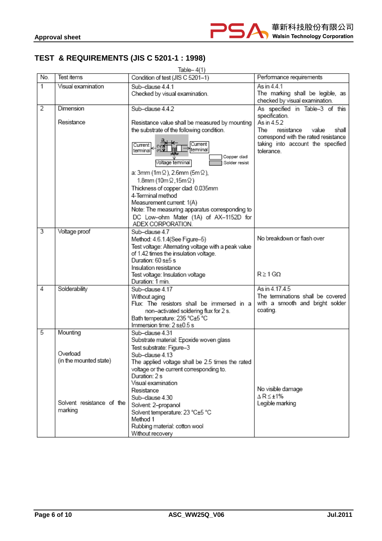

# **TEST & REQUIREMENTS (JIS C 5201-1 : 1998)**

|                | Table- $4(1)$                                                                          |                                                                                                                                                                                                                                                                                                                                                                                                                                                                                                   |                                                                                                                                                                 |  |  |  |  |  |
|----------------|----------------------------------------------------------------------------------------|---------------------------------------------------------------------------------------------------------------------------------------------------------------------------------------------------------------------------------------------------------------------------------------------------------------------------------------------------------------------------------------------------------------------------------------------------------------------------------------------------|-----------------------------------------------------------------------------------------------------------------------------------------------------------------|--|--|--|--|--|
| No.            | Test items                                                                             | Condition of test (JIS C 5201-1)                                                                                                                                                                                                                                                                                                                                                                                                                                                                  | Performance requirements                                                                                                                                        |  |  |  |  |  |
| 1              | Visual examination                                                                     | Sub-clause 4.4.1<br>Checked by visual examination.                                                                                                                                                                                                                                                                                                                                                                                                                                                | As in 4.4.1<br>The marking shall be legible, as<br>checked by visual examination.                                                                               |  |  |  |  |  |
| $\overline{2}$ | Dimension                                                                              | Sub-clause 4.4.2                                                                                                                                                                                                                                                                                                                                                                                                                                                                                  | As specified in Table-3 of this                                                                                                                                 |  |  |  |  |  |
|                | Resistance                                                                             | Resistance value shall be measured by mounting<br>the substrate of the following condition.<br>а<br><del>⊣ к,</del><br>Current<br>Current<br>terminal<br>terminal<br>Copper clad<br>Voltage terminal<br>Solder resist<br>a: 3mm (1mΩ), 2.6mm (5mΩ),<br>1.8mm (10m $\Omega$ ,15m $\Omega$ )<br>Thickness of copper clad: 0.035mm<br>4-Terminal method<br>Measurement current: 1(A)<br>Note: The measuring apparatus corresponding to<br>DC Low-ohm Mater (1A) of AX-1152D for<br>ADEX CORPORATION. | specification.<br>As in 4.5.2<br>The<br>resistance<br>value<br>shall<br>correspond with the rated resistance<br>taking into account the specified<br>tolerance. |  |  |  |  |  |
| $\overline{3}$ | Voltage proof                                                                          | Sub-clause 4.7<br>Method: 4.6.1.4(See Figure-5)<br>Test voltage: Alternating voltage with a peak value<br>of 1.42 times the insulation voltage.<br>Duration: 60 s+5 s<br>Insulation resistance<br>Test voltage: Insulation voltage<br>Duration: 1 min.                                                                                                                                                                                                                                            | No breakdown or flash over<br>$R \geq 1$ G $\Omega$                                                                                                             |  |  |  |  |  |
| 4              | Solderability                                                                          | Sub-clause 4.17<br>Without aging<br>Flux: The resistors shall be immersed in a<br>non-activated soldering flux for 2 s.<br>Bath temperature: 235 °C±5 °C<br>Immersion time: 2 s±0.5 s                                                                                                                                                                                                                                                                                                             | As in 4.17.4.5<br>The terminations shall be covered<br>with a smooth and bright solder<br>coating.                                                              |  |  |  |  |  |
| $\overline{5}$ | Mounting<br>Overload<br>(in the mounted state)<br>Solvent resistance of the<br>marking | Sub-clause 4.31<br>Substrate material: Epoxide woven glass<br>Test substrate: Figure-3<br>Sub–clause 4.13<br>The applied voltage shall be 2.5 times the rated<br>voltage or the current corresponding to.<br>Duration: 2 s<br>Visual examination<br>Resistance<br>Sub-clause 4.30<br>Solvent: 2-propanol<br>Solvent temperature: 23 °C±5 °C<br>Method 1<br>Rubbing material: cotton wool<br>Without recovery                                                                                      | No visible damage<br>∆R≤±1%<br>Legible marking                                                                                                                  |  |  |  |  |  |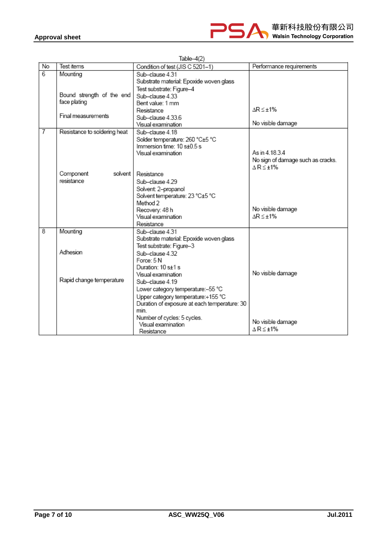

| No             | Test items                   | Condition of test (JIS C 5201-1)                     | Performance requirements          |
|----------------|------------------------------|------------------------------------------------------|-----------------------------------|
| $\overline{6}$ | Mounting                     | Sub-clause 4.31                                      |                                   |
|                |                              | Substrate material: Epoxide woven glass              |                                   |
|                |                              | Test substrate: Figure-4                             |                                   |
|                | Bound strength of the end    | Sub-clause 4.33                                      |                                   |
|                | face plating                 | Bent value: 1 mm                                     |                                   |
|                |                              | Resistance                                           | $\Delta R \leq \pm 1\%$           |
|                | Final measurements           | Sub-clause 4.33.6                                    |                                   |
|                |                              | Visual examination                                   | No visible damage                 |
| 7              | Resistance to soldering heat | Sub-clause 4.18                                      |                                   |
|                |                              | Solder temperature: 260 °C±5 °C                      |                                   |
|                |                              | Immersion time: 10 s±0.5 s                           |                                   |
|                |                              | Visual examination                                   | As in 4.18.3.4                    |
|                |                              |                                                      | No sign of damage such as cracks. |
|                |                              |                                                      | $\Delta$ R $\leq$ ±1%             |
|                | Component<br>solvent l       | Resistance                                           |                                   |
|                | resistance                   | Sub-clause 4.29                                      |                                   |
|                |                              | Solvent: 2-propanol                                  |                                   |
|                |                              | Solvent temperature: 23 °C±5 °C                      |                                   |
|                |                              | Method 2                                             |                                   |
|                |                              | Recovery: 48 h                                       | No visible damage                 |
|                |                              | Visual examination                                   | $\Delta R \leq \pm 1\%$           |
|                |                              | Resistance                                           |                                   |
| 8              | Mounting                     | Sub-clause 4.31                                      |                                   |
|                |                              | Substrate material: Epoxide woven glass              |                                   |
|                | Adhesion                     | Test substrate: Figure-3                             |                                   |
|                |                              | Sub-clause 4.32                                      |                                   |
|                |                              | Force: 5N<br>Duration: 10 s+1 s                      |                                   |
|                |                              |                                                      | No visible damage                 |
|                | Rapid change temperature     | Visual examination                                   |                                   |
|                |                              | Sub-clause 4 19                                      |                                   |
|                |                              | Lower category temperature:-55 °C                    |                                   |
|                |                              | Upper category temperature:+155 °C                   |                                   |
|                |                              | Duration of exposure at each temperature: 30<br>min. |                                   |
|                |                              |                                                      |                                   |
|                |                              | Number of cycles: 5 cycles.<br>Visual examination    | No visible damage                 |
|                |                              | Resistance                                           | $\Delta$ R $\leq$ ±1%             |
|                |                              |                                                      |                                   |

Table- $4(2)$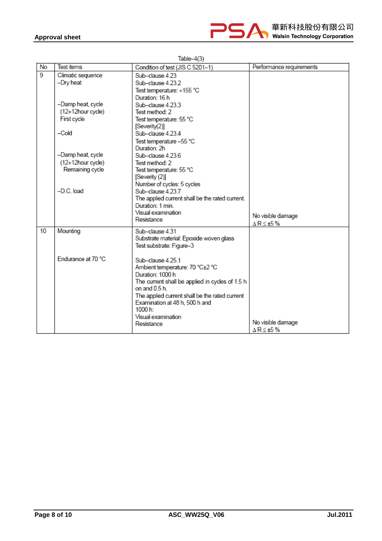

| No | Test items         | Condition of test (JIS C 5201-1)                | Performance requirements |
|----|--------------------|-------------------------------------------------|--------------------------|
| 9  | Climatic sequence  | Sub-clause 4.23                                 |                          |
|    | -Dry heat          | Sub-clause 4.23.2                               |                          |
|    |                    | Test temperature: +155 °C                       |                          |
|    |                    | Duration: 16 h                                  |                          |
|    | -Damp heat, cycle  | Sub-clause 4.23.3                               |                          |
|    | (12+12hour cycle)  | Test method: 2                                  |                          |
|    | First cycle        | Test temperature: 55 °C                         |                          |
|    |                    | [Severity(2)]                                   |                          |
|    | $-Cold$            | Sub-clause 4.23.4                               |                          |
|    |                    | Test temperature -55 °C                         |                          |
|    |                    | Duration: 2h                                    |                          |
|    | -Damp heat, cycle  | Sub-clause 4.23.6                               |                          |
|    | (12+12hour cycle)  | Test method: 2                                  |                          |
|    | Remaining cycle    | Test temperature: 55 °C                         |                          |
|    |                    | [Severity (2)]                                  |                          |
|    |                    | Number of cycles: 5 cycles                      |                          |
|    | -D.C. load         | Sub-clause 4 23 7                               |                          |
|    |                    | The applied current shall be the rated current. |                          |
|    |                    | Duration: 1 min.                                |                          |
|    |                    | Visual examination<br>Resistance                | No visible damage        |
|    |                    |                                                 | ∆R≤±5%                   |
| 10 | Mounting           | Sub-clause 4.31                                 |                          |
|    |                    | Substrate material: Epoxide woven glass         |                          |
|    |                    | Test substrate: Figure-3                        |                          |
|    |                    |                                                 |                          |
|    | Endurance at 70 °C | Sub-clause 4.25.1                               |                          |
|    |                    | Ambient temperature: 70 °C±2 °C                 |                          |
|    |                    | Duration: 1000 h                                |                          |
|    |                    | The current shall be applied in cycles of 1.5 h |                          |
|    |                    | on and 0.5 h.                                   |                          |
|    |                    | The applied current shall be the rated current  |                          |
|    |                    | Examination at 48 h, 500 h and<br>1000 h:       |                          |
|    |                    | Visual examination                              |                          |
|    |                    | Resistance                                      | No visible damage        |
|    |                    |                                                 | ∆R≤±5%                   |

Table $-4(3)$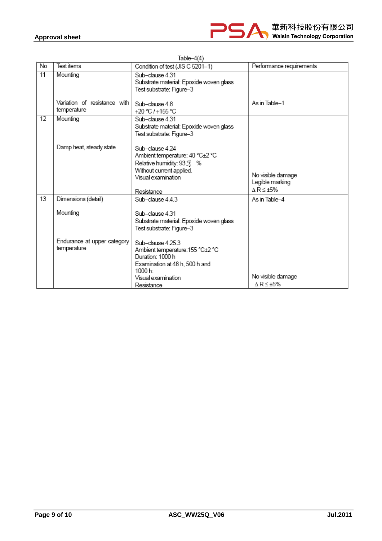|    | Table–4(4)                                  |                                                                                                                                                             |                                                |  |  |  |
|----|---------------------------------------------|-------------------------------------------------------------------------------------------------------------------------------------------------------------|------------------------------------------------|--|--|--|
| No | Test items                                  | Condition of test (JIS C 5201-1)                                                                                                                            | Performance requirements                       |  |  |  |
| 11 | Mounting                                    | Sub-clause 4.31<br>Substrate material: Epoxide woven glass<br>Test substrate: Figure-3                                                                      |                                                |  |  |  |
|    | Variation of resistance with<br>temperature | Sub-clause 48<br>+20 °C / +155 °C                                                                                                                           | As in Table-1                                  |  |  |  |
| 12 | Mounting                                    | Sub-clause 4.31<br>Substrate material: Epoxide woven glass<br>Test substrate: Figure-3                                                                      |                                                |  |  |  |
|    | Damp heat, steady state                     | Sub-clause 4.24<br>Ambient temperature: 40 °C±2 °C<br>Relative humidity: $93\frac{12}{3}$ %<br>Without current applied.<br>Visual examination<br>Resistance | No visible damage<br>Legible marking<br>∆R≤±5% |  |  |  |
| 13 | Dimensions (detail)                         | Sub-clause 443                                                                                                                                              | As in Table-4                                  |  |  |  |
|    | Mounting                                    | Sub-clause 4.31<br>Substrate material: Epoxide woven glass<br>Test substrate: Figure-3                                                                      |                                                |  |  |  |
|    | Endurance at upper category<br>temperature  | Sub-clause 4 25.3<br>Ambient temperature: 155 °C±2 °C<br>Duration: 1000 h<br>Examination at 48 h, 500 h and<br>1000 h:<br>Visual examination<br>Resistance  | No visible damage<br>$\triangle$ R $\leq$ +5%  |  |  |  |